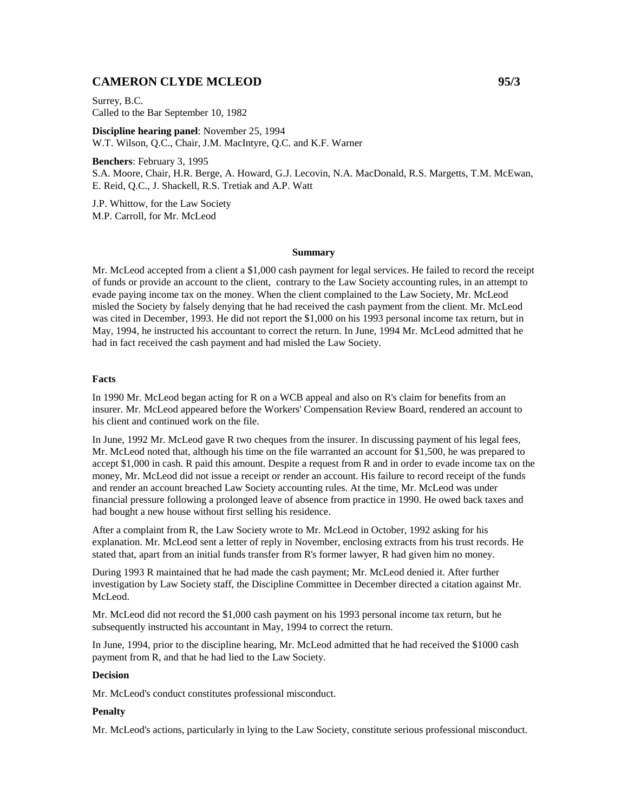# **CAMERON CLYDE MCLEOD 95/3**

Surrey, B.C. Called to the Bar September 10, 1982

**Discipline hearing panel**: November 25, 1994 W.T. Wilson, Q.C., Chair, J.M. MacIntyre, Q.C. and K.F. Warner

**Benchers**: February 3, 1995 S.A. Moore, Chair, H.R. Berge, A. Howard, G.J. Lecovin, N.A. MacDonald, R.S. Margetts, T.M. McEwan, E. Reid, Q.C., J. Shackell, R.S. Tretiak and A.P. Watt

J.P. Whittow, for the Law Society M.P. Carroll, for Mr. McLeod

#### **Summary**

Mr. McLeod accepted from a client a \$1,000 cash payment for legal services. He failed to record the receipt of funds or provide an account to the client, contrary to the Law Society accounting rules, in an attempt to evade paying income tax on the money. When the client complained to the Law Society, Mr. McLeod misled the Society by falsely denying that he had received the cash payment from the client. Mr. McLeod was cited in December, 1993. He did not report the \$1,000 on his 1993 personal income tax return, but in May, 1994, he instructed his accountant to correct the return. In June, 1994 Mr. McLeod admitted that he had in fact received the cash payment and had misled the Law Society.

### **Facts**

In 1990 Mr. McLeod began acting for R on a WCB appeal and also on R's claim for benefits from an insurer. Mr. McLeod appeared before the Workers' Compensation Review Board, rendered an account to his client and continued work on the file.

In June, 1992 Mr. McLeod gave R two cheques from the insurer. In discussing payment of his legal fees, Mr. McLeod noted that, although his time on the file warranted an account for \$1,500, he was prepared to accept \$1,000 in cash. R paid this amount. Despite a request from R and in order to evade income tax on the money, Mr. McLeod did not issue a receipt or render an account. His failure to record receipt of the funds and render an account breached Law Society accounting rules. At the time, Mr. McLeod was under financial pressure following a prolonged leave of absence from practice in 1990. He owed back taxes and had bought a new house without first selling his residence.

After a complaint from R, the Law Society wrote to Mr. McLeod in October, 1992 asking for his explanation. Mr. McLeod sent a letter of reply in November, enclosing extracts from his trust records. He stated that, apart from an initial funds transfer from R's former lawyer, R had given him no money.

During 1993 R maintained that he had made the cash payment; Mr. McLeod denied it. After further investigation by Law Society staff, the Discipline Committee in December directed a citation against Mr. McLeod.

Mr. McLeod did not record the \$1,000 cash payment on his 1993 personal income tax return, but he subsequently instructed his accountant in May, 1994 to correct the return.

In June, 1994, prior to the discipline hearing, Mr. McLeod admitted that he had received the \$1000 cash payment from R, and that he had lied to the Law Society.

## **Decision**

Mr. McLeod's conduct constitutes professional misconduct.

### **Penalty**

Mr. McLeod's actions, particularly in lying to the Law Society, constitute serious professional misconduct.